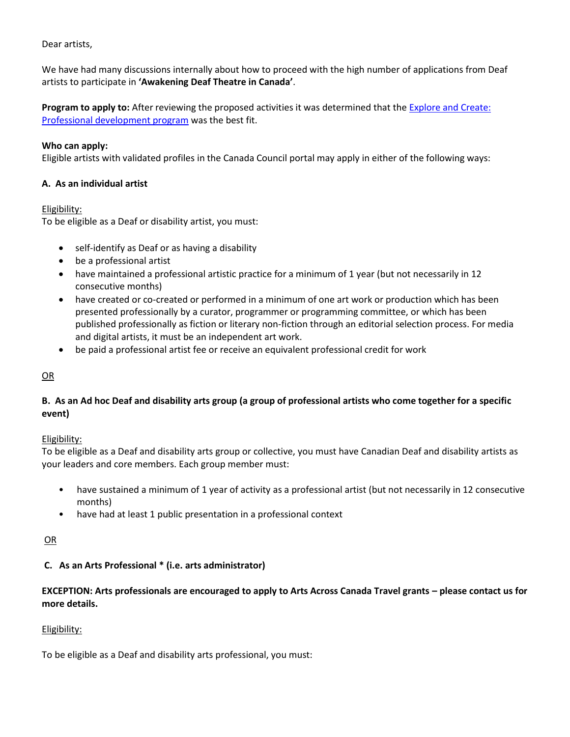Dear artists,

We have had many discussions internally about how to proceed with the high number of applications from Deaf artists to participate in **'Awakening Deaf Theatre in Canada'**.

**Program to apply to:** After reviewing the proposed activities it was determined that the **Explore and Create:** [Professional development program](https://canadacouncil.ca/funding/grants/explore-and-create/professional-development-for-artists) was the best fit.

## **Who can apply:**

Eligible artists with validated profiles in the Canada Council portal may apply in either of the following ways:

## **A. As an individual artist**

## Eligibility:

To be eligible as a Deaf or disability artist, you must:

- self-identify as Deaf or as having a disability
- be a professional artist
- have maintained a professional artistic practice for a minimum of 1 year (but not necessarily in 12 consecutive months)
- have created or co-created or performed in a minimum of one art work or production which has been presented professionally by a curator, programmer or programming committee, or which has been published professionally as fiction or literary non-fiction through an editorial selection process. For media and digital artists, it must be an independent art work.
- be paid a professional artist fee or receive an equivalent professional credit for work

# OR

# **B. As an Ad hoc Deaf and disability arts group (a group of professional artists who come together for a specific event)**

# Eligibility:

To be eligible as a Deaf and disability arts group or collective, you must have Canadian Deaf and disability artists as your leaders and core members. Each group member must:

- have sustained a minimum of 1 year of activity as a professional artist (but not necessarily in 12 consecutive months)
- have had at least 1 public presentation in a professional context

## OR

# **C. As an Arts Professional \* (i.e. arts administrator)**

# **EXCEPTION: Arts professionals are encouraged to apply to Arts Across Canada Travel grants – please contact us for more details.**

# Eligibility:

To be eligible as a Deaf and disability arts professional, you must: